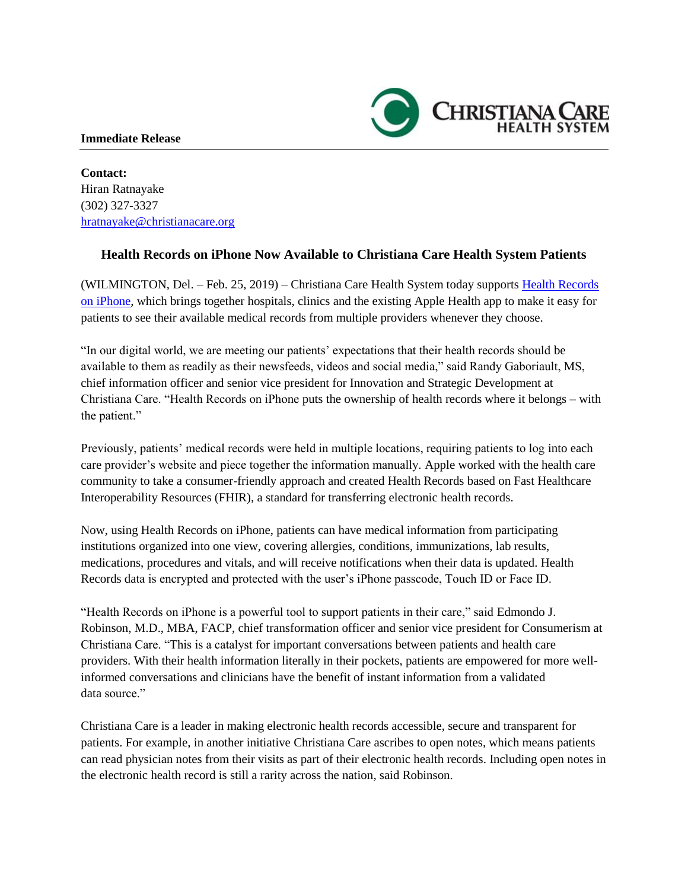## **Immediate Release**

**Contact:** Hiran Ratnayake (302) 327-3327 [hratnayake@christianacare.org](mailto:hratnayake@christianacare.org)

## **Health Records on iPhone Now Available to Christiana Care Health System Patients**

**CHRISTIANA CA** 

(WILMINGTON, Del. – Feb. 25, 2019) – Christiana Care Health System today supports [Health Records](https://www.apple.com/healthcare/health-records/)  [on iPhone,](https://www.apple.com/healthcare/health-records/) which brings together hospitals, clinics and the existing Apple Health app to make it easy for patients to see their available medical records from multiple providers whenever they choose.

"In our digital world, we are meeting our patients' expectations that their health records should be available to them as readily as their newsfeeds, videos and social media," said Randy Gaboriault, MS, chief information officer and senior vice president for Innovation and Strategic Development at Christiana Care. "Health Records on iPhone puts the ownership of health records where it belongs – with the patient."

Previously, patients' medical records were held in multiple locations, requiring patients to log into each care provider's website and piece together the information manually. Apple worked with the health care community to take a consumer-friendly approach and created Health Records based on Fast Healthcare Interoperability Resources (FHIR), a standard for transferring electronic health records.

Now, using Health Records on iPhone, patients can have medical information from participating institutions organized into one view, covering allergies, conditions, immunizations, lab results, medications, procedures and vitals, and will receive notifications when their data is updated. Health Records data is encrypted and protected with the user's iPhone passcode, Touch ID or Face ID.

"Health Records on iPhone is a powerful tool to support patients in their care," said Edmondo J. Robinson, M.D., MBA, FACP, chief transformation officer and senior vice president for Consumerism at Christiana Care. "This is a catalyst for important conversations between patients and health care providers. With their health information literally in their pockets, patients are empowered for more wellinformed conversations and clinicians have the benefit of instant information from a validated data source."

Christiana Care is a leader in making electronic health records accessible, secure and transparent for patients. For example, in another initiative Christiana Care ascribes to open notes, which means patients can read physician notes from their visits as part of their electronic health records. Including open notes in the electronic health record is still a rarity across the nation, said Robinson.